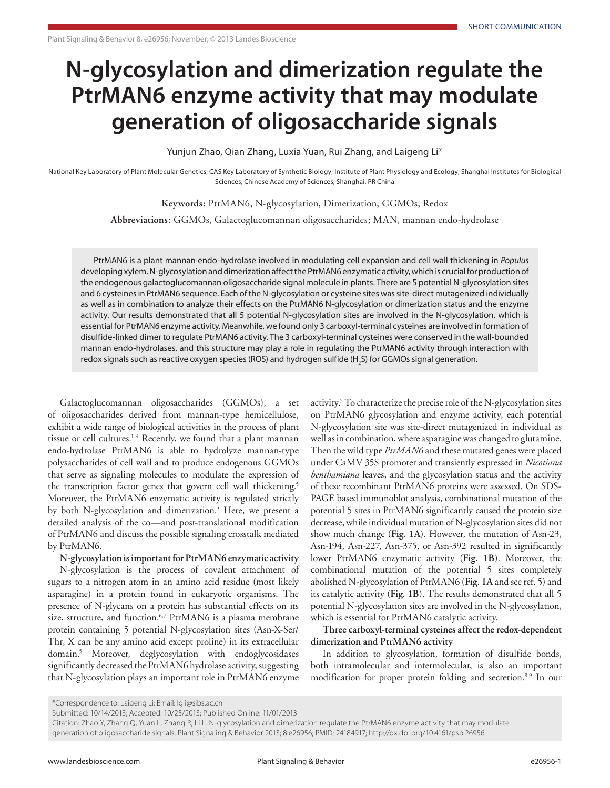## **N-glycosylation and dimerization regulate the PtrMAN6 enzyme activity that may modulate generation of oligosaccharide signals**

Yunjun Zhao, Qian Zhang, Luxia Yuan, Rui Zhang, and Laigeng Li\*

National Key Laboratory of Plant Molecular Genetics; CAS Key Laboratory of Synthetic Biology; Institute of Plant Physiology and Ecology; Shanghai Institutes for Biological Sciences; Chinese Academy of Sciences; Shanghai, PR China

**Keywords:** PtrMAN6, N-glycosylation, Dimerization, GGMOs, Redox

**Abbreviations:** GGMOs, Galactoglucomannan oligosaccharides; MAN, mannan endo-hydrolase

PtrMAN6 is a plant mannan endo-hydrolase involved in modulating cell expansion and cell wall thickening in *Populus* developing xylem. N-glycosylation and dimerization affect the PtrMAN6 enzymatic activity, which is crucial for production of the endogenous galactoglucomannan oligosaccharide signal molecule in plants. There are 5 potential N-glycosylation sites and 6 cysteines in PtrMAN6 sequence. Each of the N-glycosylation or cysteine sites was site-direct mutagenized individually as well as in combination to analyze their effects on the PtrMAN6 N-glycosylation or dimerization status and the enzyme activity. Our results demonstrated that all 5 potential N-glycosylation sites are involved in the N-glycosylation, which is essential for PtrMAN6 enzyme activity. Meanwhile, we found only 3 carboxyl-terminal cysteines are involved in formation of disulfide-linked dimer to regulate PtrMAN6 activity. The 3 carboxyl-terminal cysteines were conserved in the wall-bounded mannan endo-hydrolases, and this structure may play a role in regulating the PtrMAN6 activity through interaction with redox signals such as reactive oxygen species (ROS) and hydrogen sulfide (H<sub>2</sub>S) for GGMOs signal generation.

Galactoglucomannan oligosaccharides (GGMOs), a set of oligosaccharides derived from mannan-type hemicellulose, exhibit a wide range of biological activities in the process of plant tissue or cell cultures.<sup>1-4</sup> Recently, we found that a plant mannan endo-hydrolase PtrMAN6 is able to hydrolyze mannan-type polysaccharides of cell wall and to produce endogenous GGMOs that serve as signaling molecules to modulate the expression of the transcription factor genes that govern cell wall thickening.<sup>5</sup> Moreover, the PtrMAN6 enzymatic activity is regulated strictly by both N-glycosylation and dimerization.<sup>5</sup> Here, we present a detailed analysis of the co—and post-translational modification of PtrMAN6 and discuss the possible signaling crosstalk mediated by PtrMAN6.

**N-glycosylation is important for PtrMAN6 enzymatic activity**

N-glycosylation is the process of covalent attachment of sugars to a nitrogen atom in an amino acid residue (most likely asparagine) in a protein found in eukaryotic organisms. The presence of N-glycans on a protein has substantial effects on its size, structure, and function.<sup>6,7</sup> PtrMAN6 is a plasma membrane protein containing 5 potential N-glycosylation sites (Asn-X-Ser/ Thr, X can be any amino acid except proline) in its extracellular domain.5 Moreover, deglycosylation with endoglycosidases significantly decreased the PtrMAN6 hydrolase activity, suggesting that N-glycosylation plays an important role in PtrMAN6 enzyme

activity.<sup>5</sup> To characterize the precise role of the N-glycosylation sites on PtrMAN6 glycosylation and enzyme activity, each potential N-glycosylation site was site-direct mutagenized in individual as well as in combination, where asparagine was changed to glutamine. Then the wild type *PtrMAN6* and these mutated genes were placed under CaMV 35S promoter and transiently expressed in *Nicotiana benthamiana* leaves, and the glycosylation status and the activity of these recombinant PtrMAN6 proteins were assessed. On SDS-PAGE based immunoblot analysis, combinational mutation of the potential 5 sites in PtrMAN6 significantly caused the protein size decrease, while individual mutation of N-glycosylation sites did not show much change (**Fig. 1A**). However, the mutation of Asn-23, Asn-194, Asn-227, Asn-375, or Asn-392 resulted in significantly lower PtrMAN6 enzymatic activity (**Fig. 1B**). Moreover, the combinational mutation of the potential 5 sites completely abolished N-glycosylation of PtrMAN6 (**Fig. 1A** and see ref. 5) and its catalytic activity (**Fig. 1B**). The results demonstrated that all 5 potential N-glycosylation sites are involved in the N-glycosylation, which is essential for PtrMAN6 catalytic activity.

**Three carboxyl-terminal cysteines affect the redox-dependent dimerization and PtrMAN6 activity**

In addition to glycosylation, formation of disulfide bonds, both intramolecular and intermolecular, is also an important modification for proper protein folding and secretion.8,9 In our

<sup>\*</sup>Correspondence to: Laigeng Li; Email: lgli@sibs.ac.cn

Submitted: 10/14/2013; Accepted: 10/25/2013; Published Online: 11/01/2013

Citation: Zhao Y, Zhang Q, Yuan L, Zhang R, Li L. N-glycosylation and dimerization regulate the PtrMAN6 enzyme activity that may modulate generation of oligosaccharide signals. Plant Signaling & Behavior 2013; 8:e26956; PMID: 24184917; http://dx.doi.org/10.4161/psb.26956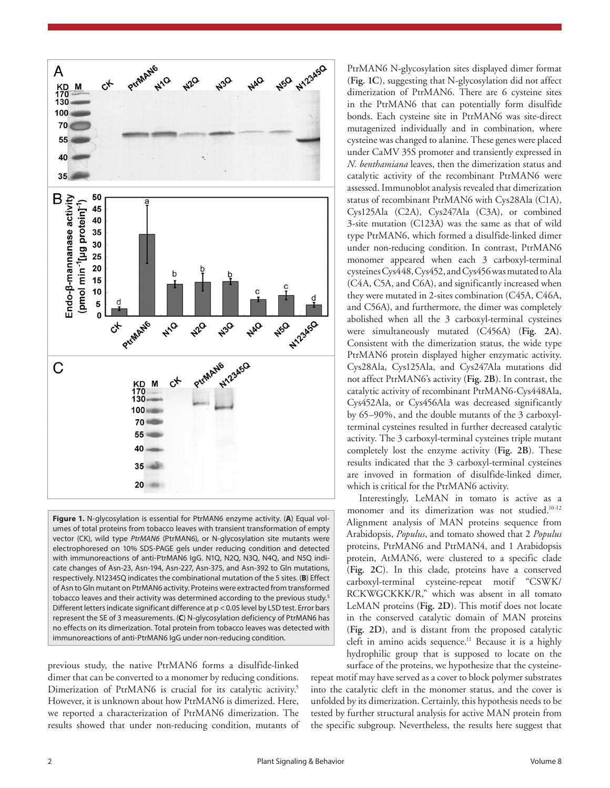

**Figure 1.** N-glycosylation is essential for PtrMAN6 enzyme activity. (**A**) Equal volumes of total proteins from tobacco leaves with transient transformation of empty vector (CK), wild type *PtrMAN6* (PtrMAN6), or N-glycosylation site mutants were electrophoresed on 10% SDS-PAGE gels under reducing condition and detected with immunoreactions of anti-PtrMAN6 IgG. N1Q, N2Q, N3Q, N4Q, and N5Q indicate changes of Asn-23, Asn-194, Asn-227, Asn-375, and Asn-392 to Gln mutations, respectively. N12345Q indicates the combinational mutation of the 5 sites. (**B**) Effect of Asn to Gln mutant on PtrMAN6 activity. Proteins were extracted from transformed tobacco leaves and their activity was determined according to the previous study.<sup>5</sup> Different letters indicate significant difference at p < 0.05 level by LSD test. Error bars represent the SE of 3 measurements. (**C**) N-glycosylation deficiency of PtrMAN6 has no effects on its dimerization. Total protein from tobacco leaves was detected with immunoreactions of anti-PtrMAN6 IgG under non-reducing condition.

previous study, the native PtrMAN6 forms a disulfide-linked dimer that can be converted to a monomer by reducing conditions. Dimerization of PtrMAN6 is crucial for its catalytic activity.<sup>5</sup> However, it is unknown about how PtrMAN6 is dimerized. Here, we reported a characterization of PtrMAN6 dimerization. The results showed that under non-reducing condition, mutants of PtrMAN6 N-glycosylation sites displayed dimer format (**Fig. 1C**), suggesting that N-glycosylation did not affect dimerization of PtrMAN6. There are 6 cysteine sites in the PtrMAN6 that can potentially form disulfide bonds. Each cysteine site in PtrMAN6 was site-direct mutagenized individually and in combination, where cysteine was changed to alanine. These genes were placed under CaMV 35S promoter and transiently expressed in *N. benthamiana* leaves, then the dimerization status and catalytic activity of the recombinant PtrMAN6 were assessed. Immunoblot analysis revealed that dimerization status of recombinant PtrMAN6 with Cys28Ala (C1A), Cys125Ala (C2A), Cys247Ala (C3A), or combined 3-site mutation (C123A) was the same as that of wild type PtrMAN6, which formed a disulfide-linked dimer under non-reducing condition. In contrast, PtrMAN6 monomer appeared when each 3 carboxyl-terminal cysteines Cys448, Cys452, and Cys456 was mutated to Ala (C4A, C5A, and C6A), and significantly increased when they were mutated in 2-sites combination (C45A, C46A, and C56A), and furthermore, the dimer was completely abolished when all the 3 carboxyl-terminal cysteines were simultaneously mutated (C456A) (**Fig. 2A**). Consistent with the dimerization status, the wide type PtrMAN6 protein displayed higher enzymatic activity. Cys28Ala, Cys125Ala, and Cys247Ala mutations did not affect PtrMAN6's activity (**Fig. 2B**). In contrast, the catalytic activity of recombinant PtrMAN6-Cys448Ala, Cys452Ala, or Cys456Ala was decreased significantly by 65–90%, and the double mutants of the 3 carboxylterminal cysteines resulted in further decreased catalytic activity. The 3 carboxyl-terminal cysteines triple mutant completely lost the enzyme activity (**Fig. 2B**). These results indicated that the 3 carboxyl-terminal cysteines are invoved in formation of disulfide-linked dimer, which is critical for the PtrMAN6 activity.

Interestingly, LeMAN in tomato is active as a monomer and its dimerization was not studied.<sup>10-12</sup> Alignment analysis of MAN proteins sequence from Arabidopsis, *Populus*, and tomato showed that 2 *Populus* proteins, PtrMAN6 and PtrMAN4, and 1 Arabidopsis protein, AtMAN6, were clustered to a specific clade (**Fig. 2C**). In this clade, proteins have a conserved carboxyl-terminal cysteine-repeat motif "CSWK/ RCKWGCKKK/R," which was absent in all tomato LeMAN proteins (**Fig. 2D**). This motif does not locate in the conserved catalytic domain of MAN proteins (**Fig. 2D**), and is distant from the proposed catalytic cleft in amino acids sequence.<sup>11</sup> Because it is a highly hydrophilic group that is supposed to locate on the surface of the proteins, we hypothesize that the cysteine-

repeat motif may have served as a cover to block polymer substrates into the catalytic cleft in the monomer status, and the cover is unfolded by its dimerization. Certainly, this hypothesis needs to be tested by further structural analysis for active MAN protein from the specific subgroup. Nevertheless, the results here suggest that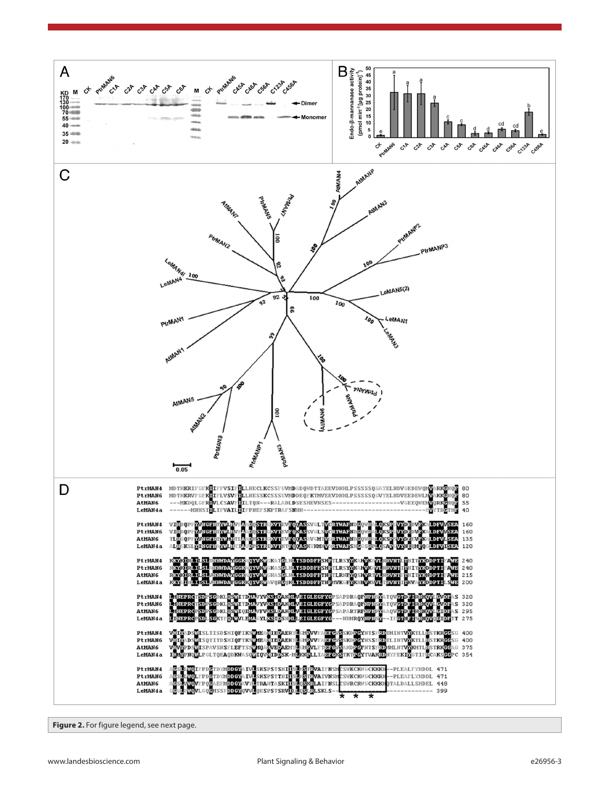

**Figure 2.** For figure legend, see next page.